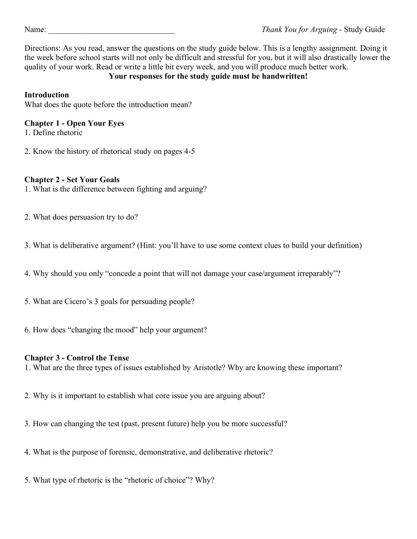Directions: As you read, answer the questions on the study guide below. This is a lengthy assignment. Doing it the week before school starts will not only be difficult and stressful for you, but it will also drastically lower the quality of your work. Read or write a little bit every week, and you will produce much better work.

# **Your responses for the study guide must be handwritten!**

## **Introduction**

What does the quote before the introduction mean?

# **Chapter 1 - Open Your Eyes**

1. Define rhetoric

2. Know the history of rhetorical study on pages 4-5

## **Chapter 2 - Set Your Goals**

- 1. What is the difference between fighting and arguing?
- 2. What does persuasion try to do?
- 3. What is deliberative argument? (Hint: you'll have to use some context clues to build your definition)
- 4. Why should you only "concede a point that will not damage your case/argument irreparably"?
- 5. What are Cicero's 3 goals for persuading people?
- 6. How does "changing the mood" help your argument?

## **Chapter 3 - Control the Tense**

1. What are the three types of issues established by Aristotle? Why are knowing these important?

- 2. Why is it important to establish what core issue you are arguing about?
- 3. How can changing the test (past, present future) help you be more successful?
- 4. What is the purpose of forensic, demonstrative, and deliberative rhetoric?
- 5. What type of rhetoric is the "rhetoric of choice"? Why?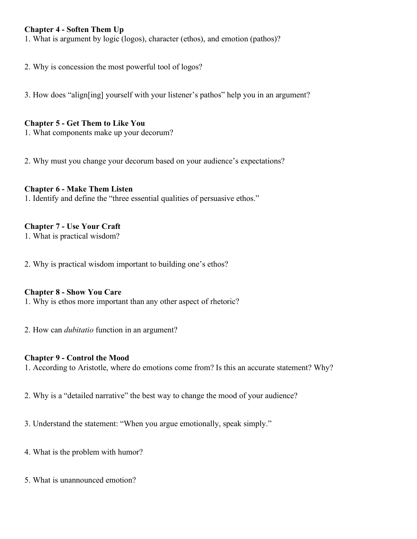### **Chapter 4 - Soften Them Up**

1. What is argument by logic (logos), character (ethos), and emotion (pathos)?

2. Why is concession the most powerful tool of logos?

3. How does "align[ing] yourself with your listener's pathos" help you in an argument?

#### **Chapter 5 - Get Them to Like You**

1. What components make up your decorum?

2. Why must you change your decorum based on your audience's expectations?

### **Chapter 6 - Make Them Listen**

1. Identify and define the "three essential qualities of persuasive ethos."

### **Chapter 7 - Use Your Craft**

1. What is practical wisdom?

2. Why is practical wisdom important to building one's ethos?

#### **Chapter 8 - Show You Care**

1. Why is ethos more important than any other aspect of rhetoric?

2. How can *dubitatio* function in an argument?

#### **Chapter 9 - Control the Mood**

1. According to Aristotle, where do emotions come from? Is this an accurate statement? Why?

2. Why is a "detailed narrative" the best way to change the mood of your audience?

3. Understand the statement: "When you argue emotionally, speak simply."

4. What is the problem with humor?

5. What is unannounced emotion?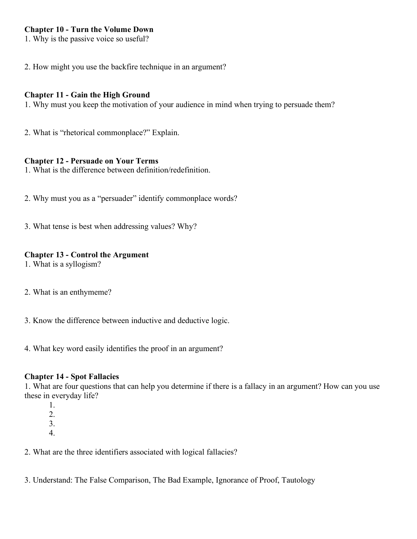### **Chapter 10 - Turn the Volume Down**

1. Why is the passive voice so useful?

2. How might you use the backfire technique in an argument?

### **Chapter 11 - Gain the High Ground**

1. Why must you keep the motivation of your audience in mind when trying to persuade them?

2. What is "rhetorical commonplace?" Explain.

#### **Chapter 12 - Persuade on Your Terms**

1. What is the difference between definition/redefinition.

- 2. Why must you as a "persuader" identify commonplace words?
- 3. What tense is best when addressing values? Why?

## **Chapter 13 - Control the Argument**

- 1. What is a syllogism?
- 2. What is an enthymeme?
- 3. Know the difference between inductive and deductive logic.
- 4. What key word easily identifies the proof in an argument?

## **Chapter 14 - Spot Fallacies**

1. What are four questions that can help you determine if there is a fallacy in an argument? How can you use these in everyday life?

- 1.
- 2.
- 3.
- 4.

2. What are the three identifiers associated with logical fallacies?

3. Understand: The False Comparison, The Bad Example, Ignorance of Proof, Tautology